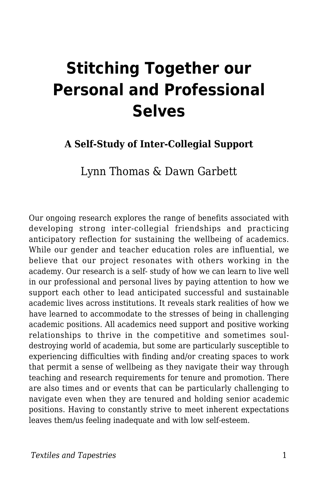# **Stitching Together our Personal and Professional Selves**

#### **A Self-Study of Inter-Collegial Support**

Lynn Thomas & Dawn Garbett

Our ongoing research explores the range of benefits associated with developing strong inter-collegial friendships and practicing anticipatory reflection for sustaining the wellbeing of academics. While our gender and teacher education roles are influential, we believe that our project resonates with others working in the academy. Our research is a self- study of how we can learn to live well in our professional and personal lives by paying attention to how we support each other to lead anticipated successful and sustainable academic lives across institutions. It reveals stark realities of how we have learned to accommodate to the stresses of being in challenging academic positions. All academics need support and positive working relationships to thrive in the competitive and sometimes souldestroying world of academia, but some are particularly susceptible to experiencing difficulties with finding and/or creating spaces to work that permit a sense of wellbeing as they navigate their way through teaching and research requirements for tenure and promotion. There are also times and or events that can be particularly challenging to navigate even when they are tenured and holding senior academic positions. Having to constantly strive to meet inherent expectations leaves them/us feeling inadequate and with low self-esteem.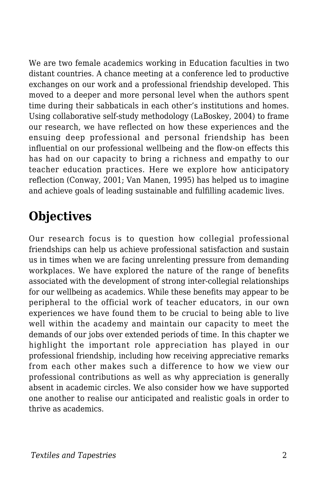We are two female academics working in Education faculties in two distant countries. A chance meeting at a conference led to productive exchanges on our work and a professional friendship developed. This moved to a deeper and more personal level when the authors spent time during their sabbaticals in each other's institutions and homes. Using collaborative self-study methodology (LaBoskey, 2004) to frame our research, we have reflected on how these experiences and the ensuing deep professional and personal friendship has been influential on our professional wellbeing and the flow-on effects this has had on our capacity to bring a richness and empathy to our teacher education practices. Here we explore how anticipatory reflection (Conway, 2001; Van Manen, 1995) has helped us to imagine and achieve goals of leading sustainable and fulfilling academic lives.

### **Objectives**

Our research focus is to question how collegial professional friendships can help us achieve professional satisfaction and sustain us in times when we are facing unrelenting pressure from demanding workplaces. We have explored the nature of the range of benefits associated with the development of strong inter-collegial relationships for our wellbeing as academics. While these benefits may appear to be peripheral to the official work of teacher educators, in our own experiences we have found them to be crucial to being able to live well within the academy and maintain our capacity to meet the demands of our jobs over extended periods of time. In this chapter we highlight the important role appreciation has played in our professional friendship, including how receiving appreciative remarks from each other makes such a difference to how we view our professional contributions as well as why appreciation is generally absent in academic circles. We also consider how we have supported one another to realise our anticipated and realistic goals in order to thrive as academics.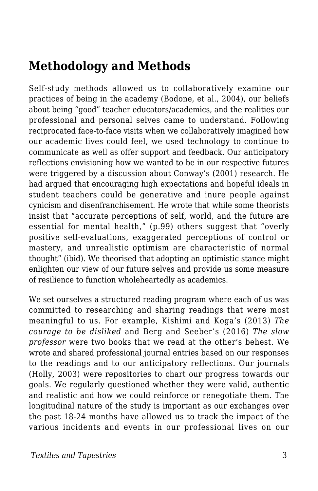#### **Methodology and Methods**

Self-study methods allowed us to collaboratively examine our practices of being in the academy (Bodone, et al., 2004), our beliefs about being "good" teacher educators/academics, and the realities our professional and personal selves came to understand. Following reciprocated face-to-face visits when we collaboratively imagined how our academic lives could feel, we used technology to continue to communicate as well as offer support and feedback. Our anticipatory reflections envisioning how we wanted to be in our respective futures were triggered by a discussion about Conway's (2001) research. He had argued that encouraging high expectations and hopeful ideals in student teachers could be generative and inure people against cynicism and disenfranchisement. He wrote that while some theorists insist that "accurate perceptions of self, world, and the future are essential for mental health," (p.99) others suggest that "overly positive self-evaluations, exaggerated perceptions of control or mastery, and unrealistic optimism are characteristic of normal thought" (ibid). We theorised that adopting an optimistic stance might enlighten our view of our future selves and provide us some measure of resilience to function wholeheartedly as academics.

We set ourselves a structured reading program where each of us was committed to researching and sharing readings that were most meaningful to us. For example, Kishimi and Koga's (2013) *The courage to be disliked* and Berg and Seeber's (2016) *The slow professor* were two books that we read at the other's behest. We wrote and shared professional journal entries based on our responses to the readings and to our anticipatory reflections. Our journals (Holly, 2003) were repositories to chart our progress towards our goals. We regularly questioned whether they were valid, authentic and realistic and how we could reinforce or renegotiate them. The longitudinal nature of the study is important as our exchanges over the past 18-24 months have allowed us to track the impact of the various incidents and events in our professional lives on our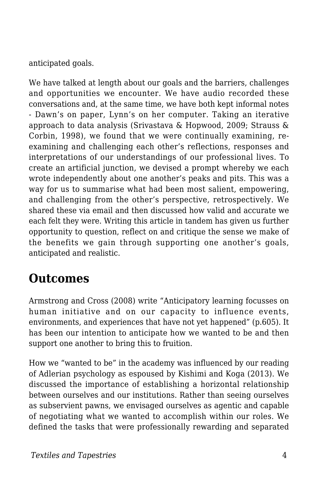anticipated goals.

We have talked at length about our goals and the barriers, challenges and opportunities we encounter. We have audio recorded these conversations and, at the same time, we have both kept informal notes - Dawn's on paper, Lynn's on her computer. Taking an iterative approach to data analysis (Srivastava & Hopwood, 2009; Strauss & Corbin, 1998), we found that we were continually examining, reexamining and challenging each other's reflections, responses and interpretations of our understandings of our professional lives. To create an artificial junction, we devised a prompt whereby we each wrote independently about one another's peaks and pits. This was a way for us to summarise what had been most salient, empowering, and challenging from the other's perspective, retrospectively. We shared these via email and then discussed how valid and accurate we each felt they were. Writing this article in tandem has given us further opportunity to question, reflect on and critique the sense we make of the benefits we gain through supporting one another's goals, anticipated and realistic.

### **Outcomes**

Armstrong and Cross (2008) write "Anticipatory learning focusses on human initiative and on our capacity to influence events, environments, and experiences that have not yet happened" (p.605). It has been our intention to anticipate how we wanted to be and then support one another to bring this to fruition.

How we "wanted to be" in the academy was influenced by our reading of Adlerian psychology as espoused by Kishimi and Koga (2013). We discussed the importance of establishing a horizontal relationship between ourselves and our institutions. Rather than seeing ourselves as subservient pawns, we envisaged ourselves as agentic and capable of negotiating what we wanted to accomplish within our roles. We defined the tasks that were professionally rewarding and separated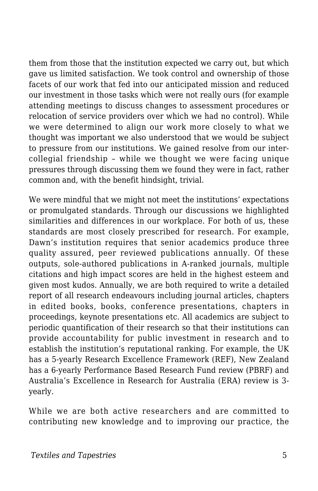them from those that the institution expected we carry out, but which gave us limited satisfaction. We took control and ownership of those facets of our work that fed into our anticipated mission and reduced our investment in those tasks which were not really ours (for example attending meetings to discuss changes to assessment procedures or relocation of service providers over which we had no control). While we were determined to align our work more closely to what we thought was important we also understood that we would be subject to pressure from our institutions. We gained resolve from our intercollegial friendship – while we thought we were facing unique pressures through discussing them we found they were in fact, rather common and, with the benefit hindsight, trivial.

We were mindful that we might not meet the institutions' expectations or promulgated standards. Through our discussions we highlighted similarities and differences in our workplace. For both of us, these standards are most closely prescribed for research. For example, Dawn's institution requires that senior academics produce three quality assured, peer reviewed publications annually. Of these outputs, sole-authored publications in A-ranked journals, multiple citations and high impact scores are held in the highest esteem and given most kudos. Annually, we are both required to write a detailed report of all research endeavours including journal articles, chapters in edited books, books, conference presentations, chapters in proceedings, keynote presentations etc. All academics are subject to periodic quantification of their research so that their institutions can provide accountability for public investment in research and to establish the institution's reputational ranking. For example, the UK has a 5-yearly Research Excellence Framework (REF), New Zealand has a 6-yearly Performance Based Research Fund review (PBRF) and Australia's Excellence in Research for Australia (ERA) review is 3 yearly.

While we are both active researchers and are committed to contributing new knowledge and to improving our practice, the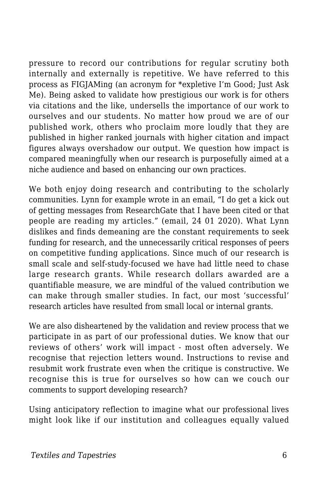pressure to record our contributions for regular scrutiny both internally and externally is repetitive. We have referred to this process as FIGJAMing (an acronym for \*expletive I'm Good; Just Ask Me). Being asked to validate how prestigious our work is for others via citations and the like, undersells the importance of our work to ourselves and our students. No matter how proud we are of our published work, others who proclaim more loudly that they are published in higher ranked journals with higher citation and impact figures always overshadow our output. We question how impact is compared meaningfully when our research is purposefully aimed at a niche audience and based on enhancing our own practices.

We both enjoy doing research and contributing to the scholarly communities. Lynn for example wrote in an email, "I do get a kick out of getting messages from ResearchGate that I have been cited or that people are reading my articles." (email, 24 01 2020). What Lynn dislikes and finds demeaning are the constant requirements to seek funding for research, and the unnecessarily critical responses of peers on competitive funding applications. Since much of our research is small scale and self-study-focused we have had little need to chase large research grants. While research dollars awarded are a quantifiable measure, we are mindful of the valued contribution we can make through smaller studies. In fact, our most 'successful' research articles have resulted from small local or internal grants.

We are also disheartened by the validation and review process that we participate in as part of our professional duties. We know that our reviews of others' work will impact - most often adversely. We recognise that rejection letters wound. Instructions to revise and resubmit work frustrate even when the critique is constructive. We recognise this is true for ourselves so how can we couch our comments to support developing research?

Using anticipatory reflection to imagine what our professional lives might look like if our institution and colleagues equally valued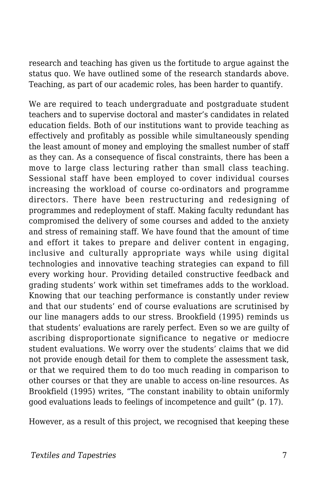research and teaching has given us the fortitude to argue against the status quo. We have outlined some of the research standards above. Teaching, as part of our academic roles, has been harder to quantify.

We are required to teach undergraduate and postgraduate student teachers and to supervise doctoral and master's candidates in related education fields. Both of our institutions want to provide teaching as effectively and profitably as possible while simultaneously spending the least amount of money and employing the smallest number of staff as they can. As a consequence of fiscal constraints, there has been a move to large class lecturing rather than small class teaching. Sessional staff have been employed to cover individual courses increasing the workload of course co-ordinators and programme directors. There have been restructuring and redesigning of programmes and redeployment of staff. Making faculty redundant has compromised the delivery of some courses and added to the anxiety and stress of remaining staff. We have found that the amount of time and effort it takes to prepare and deliver content in engaging, inclusive and culturally appropriate ways while using digital technologies and innovative teaching strategies can expand to fill every working hour. Providing detailed constructive feedback and grading students' work within set timeframes adds to the workload. Knowing that our teaching performance is constantly under review and that our students' end of course evaluations are scrutinised by our line managers adds to our stress. Brookfield (1995) reminds us that students' evaluations are rarely perfect. Even so we are guilty of ascribing disproportionate significance to negative or mediocre student evaluations. We worry over the students' claims that we did not provide enough detail for them to complete the assessment task, or that we required them to do too much reading in comparison to other courses or that they are unable to access on-line resources. As Brookfield (1995) writes, "The constant inability to obtain uniformly good evaluations leads to feelings of incompetence and guilt" (p. 17).

However, as a result of this project, we recognised that keeping these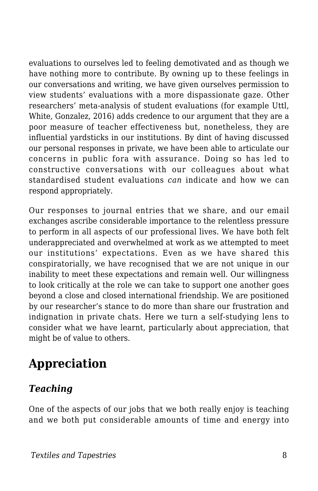evaluations to ourselves led to feeling demotivated and as though we have nothing more to contribute. By owning up to these feelings in our conversations and writing, we have given ourselves permission to view students' evaluations with a more dispassionate gaze. Other researchers' meta-analysis of student evaluations (for example Uttl, White, Gonzalez, 2016) adds credence to our argument that they are a poor measure of teacher effectiveness but, nonetheless, they are influential yardsticks in our institutions. By dint of having discussed our personal responses in private, we have been able to articulate our concerns in public fora with assurance. Doing so has led to constructive conversations with our colleagues about what standardised student evaluations *can* indicate and how we can respond appropriately.

Our responses to journal entries that we share, and our email exchanges ascribe considerable importance to the relentless pressure to perform in all aspects of our professional lives. We have both felt underappreciated and overwhelmed at work as we attempted to meet our institutions' expectations. Even as we have shared this conspiratorially, we have recognised that we are not unique in our inability to meet these expectations and remain well. Our willingness to look critically at the role we can take to support one another goes beyond a close and closed international friendship. We are positioned by our researcher's stance to do more than share our frustration and indignation in private chats. Here we turn a self-studying lens to consider what we have learnt, particularly about appreciation, that might be of value to others.

## **Appreciation**

#### *Teaching*

One of the aspects of our jobs that we both really enjoy is teaching and we both put considerable amounts of time and energy into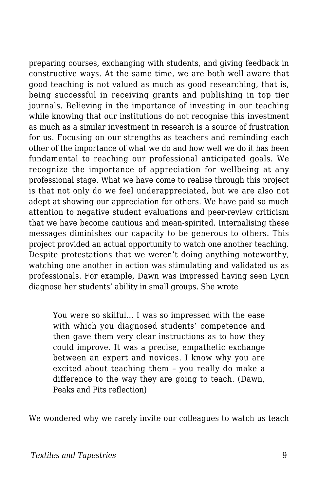preparing courses, exchanging with students, and giving feedback in constructive ways. At the same time, we are both well aware that good teaching is not valued as much as good researching, that is, being successful in receiving grants and publishing in top tier journals. Believing in the importance of investing in our teaching while knowing that our institutions do not recognise this investment as much as a similar investment in research is a source of frustration for us. Focusing on our strengths as teachers and reminding each other of the importance of what we do and how well we do it has been fundamental to reaching our professional anticipated goals. We recognize the importance of appreciation for wellbeing at any professional stage. What we have come to realise through this project is that not only do we feel underappreciated, but we are also not adept at showing our appreciation for others. We have paid so much attention to negative student evaluations and peer-review criticism that we have become cautious and mean-spirited. Internalising these messages diminishes our capacity to be generous to others. This project provided an actual opportunity to watch one another teaching. Despite protestations that we weren't doing anything noteworthy, watching one another in action was stimulating and validated us as professionals. For example, Dawn was impressed having seen Lynn diagnose her students' ability in small groups. She wrote

You were so skilful… I was so impressed with the ease with which you diagnosed students' competence and then gave them very clear instructions as to how they could improve. It was a precise, empathetic exchange between an expert and novices. I know why you are excited about teaching them – you really do make a difference to the way they are going to teach. (Dawn, Peaks and Pits reflection)

We wondered why we rarely invite our colleagues to watch us teach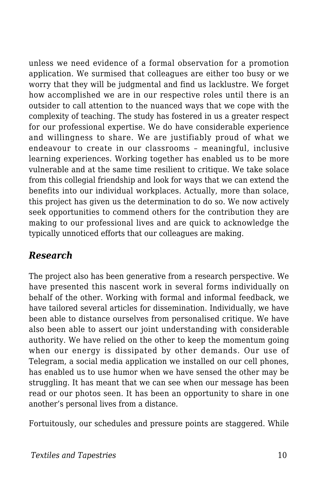unless we need evidence of a formal observation for a promotion application. We surmised that colleagues are either too busy or we worry that they will be judgmental and find us lacklustre. We forget how accomplished we are in our respective roles until there is an outsider to call attention to the nuanced ways that we cope with the complexity of teaching. The study has fostered in us a greater respect for our professional expertise. We do have considerable experience and willingness to share. We are justifiably proud of what we endeavour to create in our classrooms – meaningful, inclusive learning experiences. Working together has enabled us to be more vulnerable and at the same time resilient to critique. We take solace from this collegial friendship and look for ways that we can extend the benefits into our individual workplaces. Actually, more than solace, this project has given us the determination to do so. We now actively seek opportunities to commend others for the contribution they are making to our professional lives and are quick to acknowledge the typically unnoticed efforts that our colleagues are making.

#### *Research*

The project also has been generative from a research perspective. We have presented this nascent work in several forms individually on behalf of the other. Working with formal and informal feedback, we have tailored several articles for dissemination. Individually, we have been able to distance ourselves from personalised critique. We have also been able to assert our joint understanding with considerable authority. We have relied on the other to keep the momentum going when our energy is dissipated by other demands. Our use of Telegram, a social media application we installed on our cell phones, has enabled us to use humor when we have sensed the other may be struggling. It has meant that we can see when our message has been read or our photos seen. It has been an opportunity to share in one another's personal lives from a distance.

Fortuitously, our schedules and pressure points are staggered. While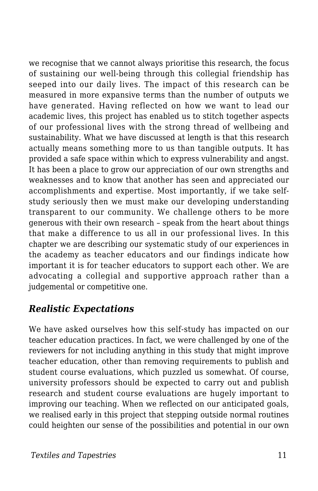we recognise that we cannot always prioritise this research, the focus of sustaining our well-being through this collegial friendship has seeped into our daily lives. The impact of this research can be measured in more expansive terms than the number of outputs we have generated. Having reflected on how we want to lead our academic lives, this project has enabled us to stitch together aspects of our professional lives with the strong thread of wellbeing and sustainability. What we have discussed at length is that this research actually means something more to us than tangible outputs. It has provided a safe space within which to express vulnerability and angst. It has been a place to grow our appreciation of our own strengths and weaknesses and to know that another has seen and appreciated our accomplishments and expertise. Most importantly, if we take selfstudy seriously then we must make our developing understanding transparent to our community. We challenge others to be more generous with their own research – speak from the heart about things that make a difference to us all in our professional lives. In this chapter we are describing our systematic study of our experiences in the academy as teacher educators and our findings indicate how important it is for teacher educators to support each other. We are advocating a collegial and supportive approach rather than a judgemental or competitive one.

#### *Realistic Expectations*

We have asked ourselves how this self-study has impacted on our teacher education practices. In fact, we were challenged by one of the reviewers for not including anything in this study that might improve teacher education, other than removing requirements to publish and student course evaluations, which puzzled us somewhat. Of course, university professors should be expected to carry out and publish research and student course evaluations are hugely important to improving our teaching. When we reflected on our anticipated goals, we realised early in this project that stepping outside normal routines could heighten our sense of the possibilities and potential in our own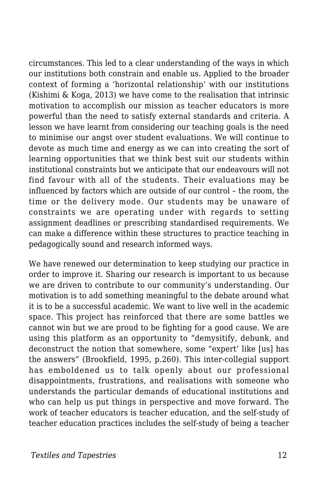circumstances. This led to a clear understanding of the ways in which our institutions both constrain and enable us. Applied to the broader context of forming a 'horizontal relationship' with our institutions (Kishimi & Koga, 2013) we have come to the realisation that intrinsic motivation to accomplish our mission as teacher educators is more powerful than the need to satisfy external standards and criteria. A lesson we have learnt from considering our teaching goals is the need to minimise our angst over student evaluations. We will continue to devote as much time and energy as we can into creating the sort of learning opportunities that we think best suit our students within institutional constraints but we anticipate that our endeavours will not find favour with all of the students. Their evaluations may be influenced by factors which are outside of our control – the room, the time or the delivery mode. Our students may be unaware of constraints we are operating under with regards to setting assignment deadlines or prescribing standardised requirements. We can make a difference within these structures to practice teaching in pedagogically sound and research informed ways.

We have renewed our determination to keep studying our practice in order to improve it. Sharing our research is important to us because we are driven to contribute to our community's understanding. Our motivation is to add something meaningful to the debate around what it is to be a successful academic. We want to live well in the academic space. This project has reinforced that there are some battles we cannot win but we are proud to be fighting for a good cause. We are using this platform as an opportunity to "demysitify, debunk, and deconstruct the notion that somewhere, some "expert' like [us] has the answers" (Brookfield, 1995, p.260). This inter-collegial support has emboldened us to talk openly about our professional disappointments, frustrations, and realisations with someone who understands the particular demands of educational institutions and who can help us put things in perspective and move forward. The work of teacher educators is teacher education, and the self-study of teacher education practices includes the self-study of being a teacher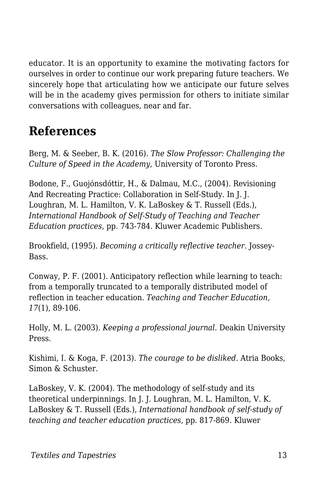educator. It is an opportunity to examine the motivating factors for ourselves in order to continue our work preparing future teachers. We sincerely hope that articulating how we anticipate our future selves will be in the academy gives permission for others to initiate similar conversations with colleagues, near and far.

### **References**

Berg, M. & Seeber, B. K. (2016). *The Slow Professor: Challenging the Culture of Speed in the Academy*, University of Toronto Press.

Bodone, F., Guojónsdóttir, H., & Dalmau, M.C., (2004). Revisioning And Recreating Practice: Collaboration in Self-Study. In J. J. Loughran, M. L. Hamilton, V. K. LaBoskey & T. Russell (Eds.), *International Handbook of Self-Study of Teaching and Teacher Education practices*, pp. 743-784. Kluwer Academic Publishers.

Brookfield, (1995). *Becoming a critically reflective teacher*. Jossey-Bass.

Conway, P. F. (2001). Anticipatory reflection while learning to teach: from a temporally truncated to a temporally distributed model of reflection in teacher education. *Teaching and Teacher Education, 17*(1), 89-106.

Holly, M. L. (2003). *Keeping a professional journal*. Deakin University Press.

Kishimi, I. & Koga, F. (2013). *The courage to be disliked*. Atria Books, Simon & Schuster.

LaBoskey, V. K. (2004). The methodology of self-study and its theoretical underpinnings. In J. J. Loughran, M. L. Hamilton, V. K. LaBoskey & T. Russell (Eds.), *International handbook of self-study of teaching and teacher education practices*, pp. 817-869. Kluwer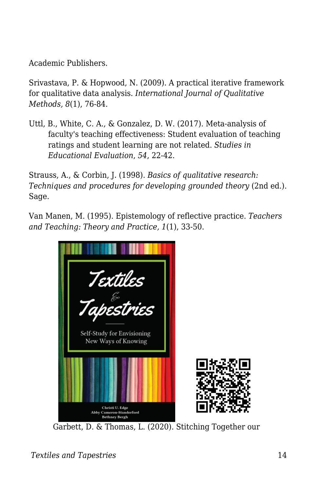Academic Publishers.

Srivastava, P. & Hopwood, N. (2009). A practical iterative framework for qualitative data analysis. *International Journal of Qualitative Methods, 8*(1), 76-84.

Uttl, B., White, C. A., & Gonzalez, D. W. (2017). Meta-analysis of faculty's teaching effectiveness: Student evaluation of teaching ratings and student learning are not related. *Studies in Educational Evaluation*, *54*, 22-42.

Strauss, A., & Corbin, J. (1998). *Basics of qualitative research: Techniques and procedures for developing grounded theory* (2nd ed.). Sage.

Van Manen, M. (1995). Epistemology of reflective practice. *Teachers and Teaching: Theory and Practice, 1*(1), 33-50.



Garbett, D. & Thomas, L. (2020). Stitching Together our